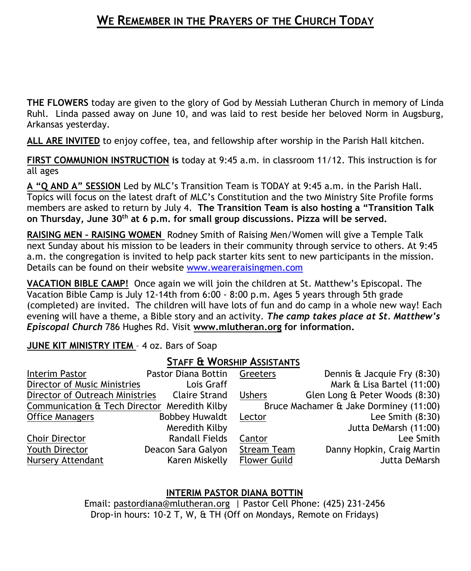# **WE REMEMBER IN THE PRAYERS OF THE CHURCH TODAY**

**THE FLOWERS** today are given to the glory of God by Messiah Lutheran Church in memory of Linda Ruhl. Linda passed away on June 10, and was laid to rest beside her beloved Norm in Augsburg, Arkansas yesterday.

**ALL ARE INVITED** to enjoy coffee, tea, and fellowship after worship in the Parish Hall kitchen.

**FIRST COMMUNION INSTRUCTION is** today at 9:45 a.m. in classroom 11/12. This instruction is for all ages

**A "Q AND A" SESSION** Led by MLC's Transition Team is TODAY at 9:45 a.m. in the Parish Hall. Topics will focus on the latest draft of MLC's Constitution and the two Ministry Site Profile forms members are asked to return by July 4. **The Transition Team is also hosting a "Transition Talk on Thursday, June 30th at 6 p.m. for small group discussions. Pizza will be served.**

**RAISING MEN – RAISING WOMEN** Rodney Smith of Raising Men/Women will give a Temple Talk next Sunday about his mission to be leaders in their community through service to others. At 9:45 a.m. the congregation is invited to help pack starter kits sent to new participants in the mission. Details can be found on their website [www.weareraisingmen.com](http://www.weareraisingmen.com/)

**VACATION BIBLE CAMP!** Once again we will join the children at St. Matthew's Episcopal. The Vacation Bible Camp is July 12-14th from 6:00 - 8:00 p.m. Ages 5 years through 5th grade (completed) are invited. The children will have lots of fun and do camp in a whole new way! Each evening will have a theme, a Bible story and an activity. *The camp takes place at St. Matthew's Episcopal Church* 786 Hughes Rd. Visit **[www.mlutheran.org](http://www.mlutheran.org/) for information.**

### **JUNE KIT MINISTRY ITEM** – 4 oz. Bars of Soap

### **STAFF & WORSHIP ASSISTANTS**

| Interim Pastor                               |  | Pastor Diana Bottin   | Greeters                               | Dennis & Jacquie Fry (8:30)    |
|----------------------------------------------|--|-----------------------|----------------------------------------|--------------------------------|
| Director of Music Ministries                 |  | Lois Graff            |                                        | Mark & Lisa Bartel (11:00)     |
| Director of Outreach Ministries              |  | <b>Claire Strand</b>  | <b>Ushers</b>                          | Glen Long & Peter Woods (8:30) |
| Communication & Tech Director Meredith Kilby |  |                       | Bruce Machamer & Jake Dorminey (11:00) |                                |
| <b>Office Managers</b>                       |  | <b>Bobbey Huwaldt</b> | Lector                                 | Lee Smith $(8:30)$             |
|                                              |  | Meredith Kilby        |                                        | Jutta DeMarsh (11:00)          |
| Choir Director                               |  | <b>Randall Fields</b> | Cantor                                 | Lee Smith                      |
| Youth Director                               |  | Deacon Sara Galyon    | <b>Stream Team</b>                     | Danny Hopkin, Craig Martin     |
| <b>Nursery Attendant</b>                     |  | Karen Miskelly        | <b>Flower Guild</b>                    | Jutta DeMarsh                  |

### **INTERIM PASTOR DIANA BOTTIN**

Email: [pastordiana@mlutheran.org](mailto:pastordiana@mlutheran.org) | Pastor Cell Phone: (425) 231-2456 Drop-in hours: 10-2 T, W, & TH (Off on Mondays, Remote on Fridays)